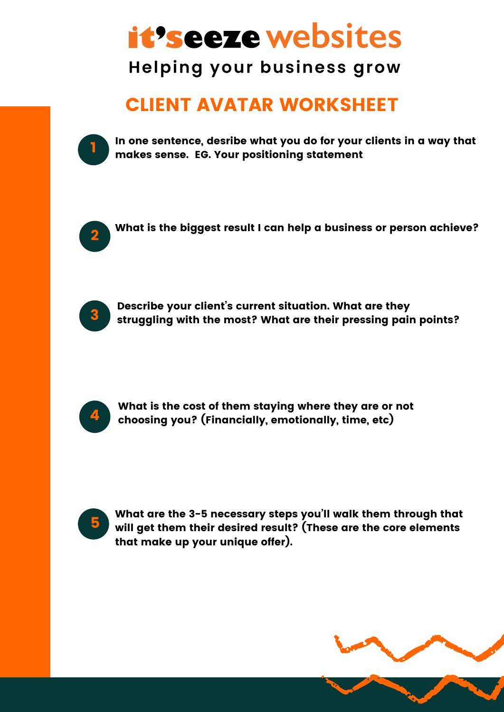## *it's eeze websites*

**Helping your business grow** 

## CLIENT AVATAR WORKSHEET



In one sentence, desribe what you do for your clients in a way that makes sense. EG. Your positioning statement



What is the biggest result I can help a business or person achieve?



Describe your client's current situation. What are they struggling with the most? What are their pressing pain points?



What is the cost of them staying where they are or not choosing you? (Financially, emotionally, time, etc)



What are the 3-5 necessary steps you'll walk them through that will get them their desired result? (These are the core elements that make up your unique offer).